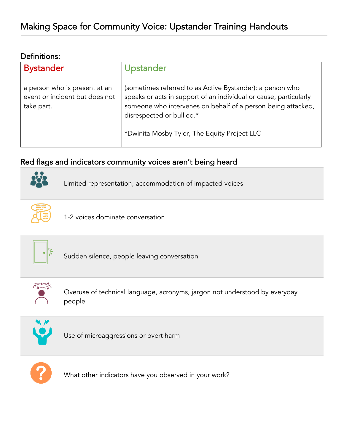#### Definitions:

| <b>Bystander</b>                                                              | Upstander                                                                                                                                                                                                                                                                   |
|-------------------------------------------------------------------------------|-----------------------------------------------------------------------------------------------------------------------------------------------------------------------------------------------------------------------------------------------------------------------------|
| a person who is present at an<br>event or incident but does not<br>take part. | (sometimes referred to as Active Bystander): a person who<br>speaks or acts in support of an individual or cause, particularly<br>someone who intervenes on behalf of a person being attacked,<br>disrespected or bullied.*<br>*Dwinita Mosby Tyler, The Equity Project LLC |

## Red flags and indicators community voices aren't being heard



Limited representation, accommodation of impacted voices



1-2 voices dominate conversation



Sudden silence, people leaving conversation



Overuse of technical language, acronyms, jargon not understood by everyday people



Use of microaggressions or overt harm



What other indicators have you observed in your work?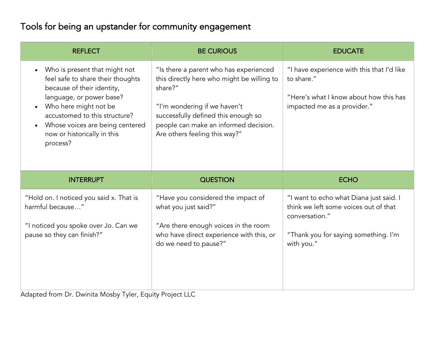# Tools for being an upstander for community engagement

| <b>REFLECT</b>                                                                                                                                                                                                                                                       | <b>BE CURIOUS</b>                                                                                                                                                                                                                                | <b>EDUCATE</b>                                                                                                                                           |
|----------------------------------------------------------------------------------------------------------------------------------------------------------------------------------------------------------------------------------------------------------------------|--------------------------------------------------------------------------------------------------------------------------------------------------------------------------------------------------------------------------------------------------|----------------------------------------------------------------------------------------------------------------------------------------------------------|
| Who is present that might not<br>feel safe to share their thoughts<br>because of their identity,<br>language, or power base?<br>Who here might not be<br>accustomed to this structure?<br>Whose voices are being centered<br>now or historically in this<br>process? | "Is there a parent who has experienced<br>this directly here who might be willing to<br>share?"<br>"I'm wondering if we haven't<br>successfully defined this enough so<br>people can make an informed decision.<br>Are others feeling this way?" | "I have experience with this that I'd like<br>to share."<br>"Here's what I know about how this has<br>impacted me as a provider."                        |
| <b>INTERRUPT</b>                                                                                                                                                                                                                                                     | <b>QUESTION</b>                                                                                                                                                                                                                                  | <b>ECHO</b>                                                                                                                                              |
| "Hold on. I noticed you said x. That is<br>harmful because"<br>"I noticed you spoke over Jo. Can we<br>pause so they can finish?"                                                                                                                                    | "Have you considered the impact of<br>what you just said?"<br>"Are there enough voices in the room<br>who have direct experience with this, or<br>do we need to pause?"                                                                          | "I want to echo what Diana just said. I<br>think we left some voices out of that<br>conversation."<br>"Thank you for saying something. I'm<br>with you." |

Adapted from Dr. Dwinita Mosby Tyler, Equity Project LLC